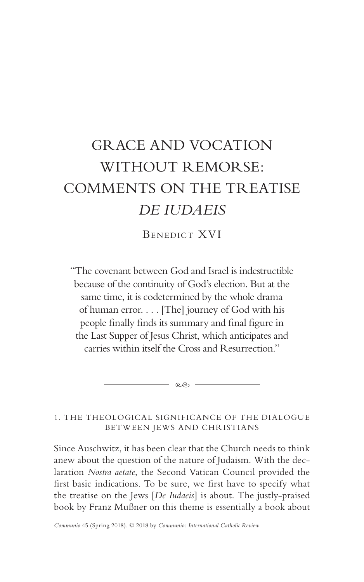# GRACE AND VOCATION WITHOUT REMORSE: COMMENTS ON THE TREATISE *DE IUDAEIS*

BENEDICT XVI

"The covenant between God and Israel is indestructible because of the continuity of God's election. But at the same time, it is codetermined by the whole drama of human error. . . . [The] journey of God with his people finally finds its summary and final figure in the Last Supper of Jesus Christ, which anticipates and carries within itself the Cross and Resurrection."

1. THE THEOLOGICAL SIGNIFICANCE OF THE DIALOGUE BETWEEN JEWS AND CHRISTIANS

 $-$  eo  $-$ 

Since Auschwitz, it has been clear that the Church needs to think anew about the question of the nature of Judaism. With the declaration *Nostra aetate*, the Second Vatican Council provided the first basic indications. To be sure, we first have to specify what the treatise on the Jews [*De Iudaeis*] is about. The justly-praised book by Franz Mußner on this theme is essentially a book about

*Communio* 45 (Spring 2018). © 2018 by *Communio: International Catholic Review*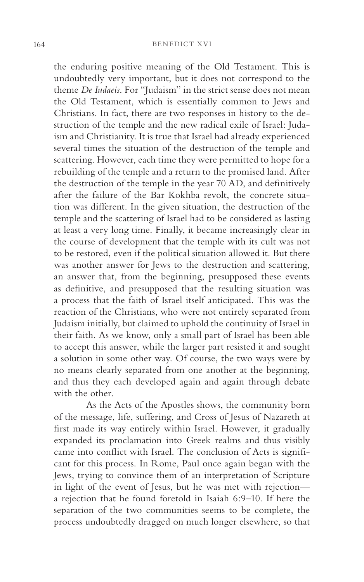the enduring positive meaning of the Old Testament. This is undoubtedly very important, but it does not correspond to the theme *De Iudaeis*. For "Judaism" in the strict sense does not mean the Old Testament, which is essentially common to Jews and Christians. In fact, there are two responses in history to the destruction of the temple and the new radical exile of Israel: Judaism and Christianity. It is true that Israel had already experienced several times the situation of the destruction of the temple and scattering. However, each time they were permitted to hope for a rebuilding of the temple and a return to the promised land. After the destruction of the temple in the year 70 AD, and definitively after the failure of the Bar Kokhba revolt, the concrete situation was different. In the given situation, the destruction of the temple and the scattering of Israel had to be considered as lasting at least a very long time. Finally, it became increasingly clear in the course of development that the temple with its cult was not to be restored, even if the political situation allowed it. But there was another answer for Jews to the destruction and scattering, an answer that, from the beginning, presupposed these events as definitive, and presupposed that the resulting situation was a process that the faith of Israel itself anticipated. This was the reaction of the Christians, who were not entirely separated from Judaism initially, but claimed to uphold the continuity of Israel in their faith. As we know, only a small part of Israel has been able to accept this answer, while the larger part resisted it and sought a solution in some other way. Of course, the two ways were by no means clearly separated from one another at the beginning, and thus they each developed again and again through debate with the other.

As the Acts of the Apostles shows, the community born of the message, life, suffering, and Cross of Jesus of Nazareth at first made its way entirely within Israel. However, it gradually expanded its proclamation into Greek realms and thus visibly came into conflict with Israel. The conclusion of Acts is significant for this process. In Rome, Paul once again began with the Jews, trying to convince them of an interpretation of Scripture in light of the event of Jesus, but he was met with rejection a rejection that he found foretold in Isaiah 6:9–10. If here the separation of the two communities seems to be complete, the process undoubtedly dragged on much longer elsewhere, so that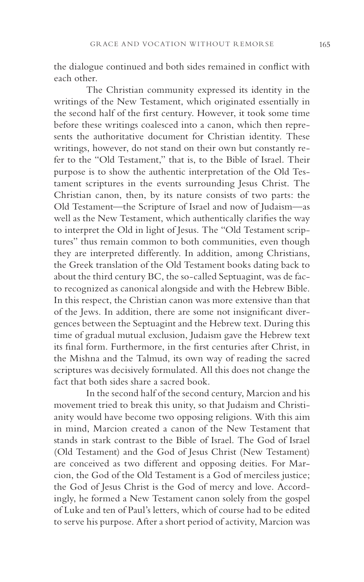the dialogue continued and both sides remained in conflict with each other.

The Christian community expressed its identity in the writings of the New Testament, which originated essentially in the second half of the first century. However, it took some time before these writings coalesced into a canon, which then represents the authoritative document for Christian identity. These writings, however, do not stand on their own but constantly refer to the "Old Testament," that is, to the Bible of Israel. Their purpose is to show the authentic interpretation of the Old Testament scriptures in the events surrounding Jesus Christ. The Christian canon, then, by its nature consists of two parts: the Old Testament—the Scripture of Israel and now of Judaism—as well as the New Testament, which authentically clarifies the way to interpret the Old in light of Jesus. The "Old Testament scriptures" thus remain common to both communities, even though they are interpreted differently. In addition, among Christians, the Greek translation of the Old Testament books dating back to about the third century BC, the so-called Septuagint, was de facto recognized as canonical alongside and with the Hebrew Bible. In this respect, the Christian canon was more extensive than that of the Jews. In addition, there are some not insignificant divergences between the Septuagint and the Hebrew text. During this time of gradual mutual exclusion, Judaism gave the Hebrew text its final form. Furthermore, in the first centuries after Christ, in the Mishna and the Talmud, its own way of reading the sacred scriptures was decisively formulated. All this does not change the fact that both sides share a sacred book.

In the second half of the second century, Marcion and his movement tried to break this unity, so that Judaism and Christianity would have become two opposing religions. With this aim in mind, Marcion created a canon of the New Testament that stands in stark contrast to the Bible of Israel. The God of Israel (Old Testament) and the God of Jesus Christ (New Testament) are conceived as two different and opposing deities. For Marcion, the God of the Old Testament is a God of merciless justice; the God of Jesus Christ is the God of mercy and love. Accordingly, he formed a New Testament canon solely from the gospel of Luke and ten of Paul's letters, which of course had to be edited to serve his purpose. After a short period of activity, Marcion was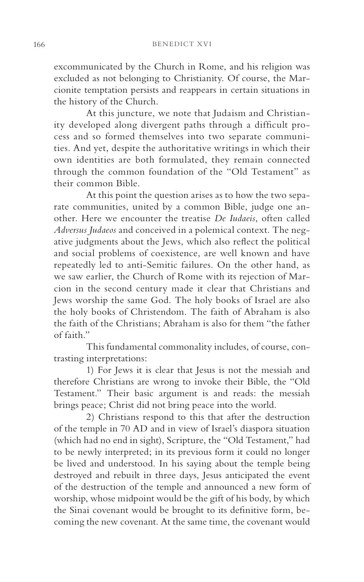excommunicated by the Church in Rome, and his religion was excluded as not belonging to Christianity. Of course, the Marcionite temptation persists and reappears in certain situations in the history of the Church.

At this juncture, we note that Judaism and Christianity developed along divergent paths through a difficult process and so formed themselves into two separate communities. And yet, despite the authoritative writings in which their own identities are both formulated, they remain connected through the common foundation of the "Old Testament" as their common Bible.

At this point the question arises as to how the two separate communities, united by a common Bible, judge one another. Here we encounter the treatise *De Iudaeis*, often called *Adversus Judaeos* and conceived in a polemical context. The negative judgments about the Jews, which also reflect the political and social problems of coexistence, are well known and have repeatedly led to anti-Semitic failures. On the other hand, as we saw earlier, the Church of Rome with its rejection of Marcion in the second century made it clear that Christians and Jews worship the same God. The holy books of Israel are also the holy books of Christendom. The faith of Abraham is also the faith of the Christians; Abraham is also for them "the father of faith."

This fundamental commonality includes, of course, contrasting interpretations:

1) For Jews it is clear that Jesus is not the messiah and therefore Christians are wrong to invoke their Bible, the "Old Testament." Their basic argument is and reads: the messiah brings peace; Christ did not bring peace into the world.

2) Christians respond to this that after the destruction of the temple in 70 AD and in view of Israel's diaspora situation (which had no end in sight), Scripture, the "Old Testament," had to be newly interpreted; in its previous form it could no longer be lived and understood. In his saying about the temple being destroyed and rebuilt in three days, Jesus anticipated the event of the destruction of the temple and announced a new form of worship, whose midpoint would be the gift of his body, by which the Sinai covenant would be brought to its definitive form, becoming the new covenant. At the same time, the covenant would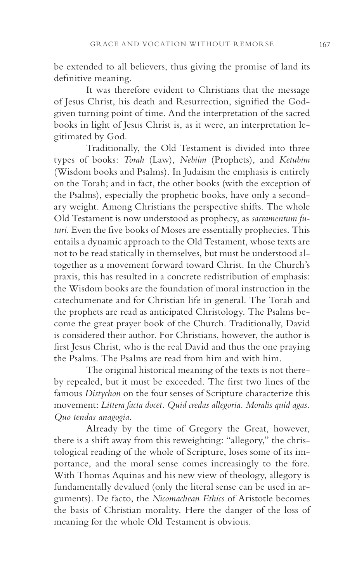be extended to all believers, thus giving the promise of land its definitive meaning.

It was therefore evident to Christians that the message of Jesus Christ, his death and Resurrection, signified the Godgiven turning point of time. And the interpretation of the sacred books in light of Jesus Christ is, as it were, an interpretation legitimated by God.

Traditionally, the Old Testament is divided into three types of books: *Torah* (Law), *Nebiim* (Prophets), and *Ketubim*  (Wisdom books and Psalms). In Judaism the emphasis is entirely on the Torah; and in fact, the other books (with the exception of the Psalms), especially the prophetic books, have only a secondary weight. Among Christians the perspective shifts. The whole Old Testament is now understood as prophecy, as *sacramentum futuri*. Even the five books of Moses are essentially prophecies. This entails a dynamic approach to the Old Testament, whose texts are not to be read statically in themselves, but must be understood altogether as a movement forward toward Christ. In the Church's praxis, this has resulted in a concrete redistribution of emphasis: the Wisdom books are the foundation of moral instruction in the catechumenate and for Christian life in general. The Torah and the prophets are read as anticipated Christology. The Psalms become the great prayer book of the Church. Traditionally, David is considered their author. For Christians, however, the author is first Jesus Christ, who is the real David and thus the one praying the Psalms. The Psalms are read from him and with him.

The original historical meaning of the texts is not thereby repealed, but it must be exceeded. The first two lines of the famous *Distychon* on the four senses of Scripture characterize this movement: *Littera facta docet. Quid credas allegoria. Moralis quid agas. Quo tendas anagogia*.

Already by the time of Gregory the Great, however, there is a shift away from this reweighting: "allegory," the christological reading of the whole of Scripture, loses some of its importance, and the moral sense comes increasingly to the fore. With Thomas Aquinas and his new view of theology, allegory is fundamentally devalued (only the literal sense can be used in arguments). De facto, the *Nicomachean Ethics* of Aristotle becomes the basis of Christian morality. Here the danger of the loss of meaning for the whole Old Testament is obvious.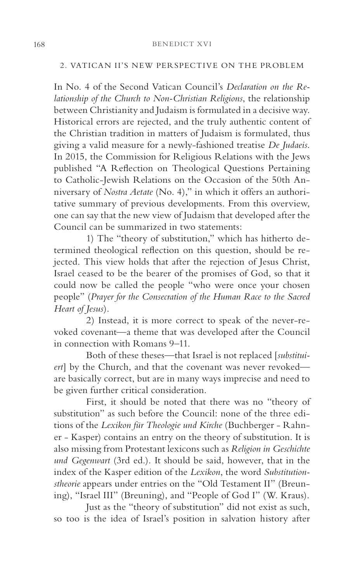#### 2. VATICAN II'S NEW PERSPECTIVE ON THE PROBLEM

In No. 4 of the Second Vatican Council's *Declaration on the Relationship of the Church to Non-Christian Religions*, the relationship between Christianity and Judaism is formulated in a decisive way. Historical errors are rejected, and the truly authentic content of the Christian tradition in matters of Judaism is formulated, thus giving a valid measure for a newly-fashioned treatise *De Judaeis*. In 2015, the Commission for Religious Relations with the Jews published "A Reflection on Theological Questions Pertaining to Catholic-Jewish Relations on the Occasion of the 50th Anniversary of *Nostra Aetate* (No. 4)," in which it offers an authoritative summary of previous developments. From this overview, one can say that the new view of Judaism that developed after the Council can be summarized in two statements:

1) The "theory of substitution," which has hitherto determined theological reflection on this question, should be rejected. This view holds that after the rejection of Jesus Christ, Israel ceased to be the bearer of the promises of God, so that it could now be called the people "who were once your chosen people" (*Prayer for the Consecration of the Human Race to the Sacred Heart of Jesus*).

2) Instead, it is more correct to speak of the never-revoked covenant—a theme that was developed after the Council in connection with Romans 9–11.

Both of these theses—that Israel is not replaced [*substituiert*] by the Church, and that the covenant was never revoked are basically correct, but are in many ways imprecise and need to be given further critical consideration.

First, it should be noted that there was no "theory of substitution" as such before the Council: none of the three editions of the *Lexikon für Theologie und Kirche* (Buchberger - Rahner - Kasper) contains an entry on the theory of substitution. It is also missing from Protestant lexicons such as *Religion in Geschichte und Gegenwart* (3rd ed.). It should be said, however, that in the index of the Kasper edition of the *Lexikon*, the word *Substitutionstheorie* appears under entries on the "Old Testament II" (Breuning), "Israel III" (Breuning), and "People of God I" (W. Kraus).

Just as the "theory of substitution" did not exist as such, so too is the idea of Israel's position in salvation history after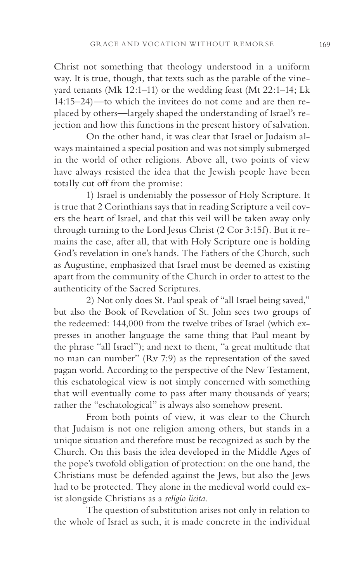Christ not something that theology understood in a uniform way. It is true, though, that texts such as the parable of the vineyard tenants (Mk 12:1–11) or the wedding feast (Mt 22:1–14; Lk 14:15–24)—to which the invitees do not come and are then replaced by others—largely shaped the understanding of Israel's rejection and how this functions in the present history of salvation.

On the other hand, it was clear that Israel or Judaism always maintained a special position and was not simply submerged in the world of other religions. Above all, two points of view have always resisted the idea that the Jewish people have been totally cut off from the promise:

1) Israel is undeniably the possessor of Holy Scripture. It is true that 2 Corinthians says that in reading Scripture a veil covers the heart of Israel, and that this veil will be taken away only through turning to the Lord Jesus Christ (2 Cor 3:15f). But it remains the case, after all, that with Holy Scripture one is holding God's revelation in one's hands. The Fathers of the Church, such as Augustine, emphasized that Israel must be deemed as existing apart from the community of the Church in order to attest to the authenticity of the Sacred Scriptures.

2) Not only does St. Paul speak of "all Israel being saved," but also the Book of Revelation of St. John sees two groups of the redeemed: 144,000 from the twelve tribes of Israel (which expresses in another language the same thing that Paul meant by the phrase "all Israel"); and next to them, "a great multitude that no man can number" (Rv 7:9) as the representation of the saved pagan world. According to the perspective of the New Testament, this eschatological view is not simply concerned with something that will eventually come to pass after many thousands of years; rather the "eschatological" is always also somehow present.

From both points of view, it was clear to the Church that Judaism is not one religion among others, but stands in a unique situation and therefore must be recognized as such by the Church. On this basis the idea developed in the Middle Ages of the pope's twofold obligation of protection: on the one hand, the Christians must be defended against the Jews, but also the Jews had to be protected. They alone in the medieval world could exist alongside Christians as a *religio licita*.

The question of substitution arises not only in relation to the whole of Israel as such, it is made concrete in the individual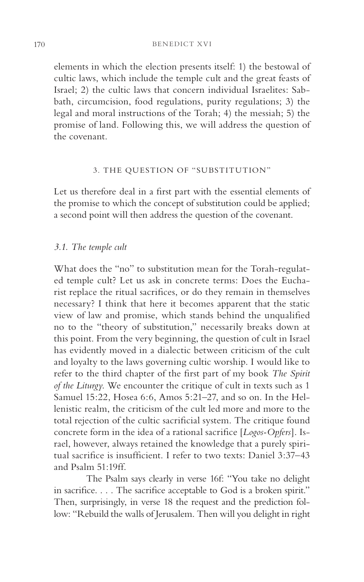elements in which the election presents itself: 1) the bestowal of cultic laws, which include the temple cult and the great feasts of Israel; 2) the cultic laws that concern individual Israelites: Sabbath, circumcision, food regulations, purity regulations; 3) the legal and moral instructions of the Torah; 4) the messiah; 5) the promise of land. Following this, we will address the question of the covenant.

# 3. THE QUESTION OF "SUBSTITUTION"

Let us therefore deal in a first part with the essential elements of the promise to which the concept of substitution could be applied; a second point will then address the question of the covenant.

# *3.1. The temple cult*

What does the "no" to substitution mean for the Torah-regulated temple cult? Let us ask in concrete terms: Does the Eucharist replace the ritual sacrifices, or do they remain in themselves necessary? I think that here it becomes apparent that the static view of law and promise, which stands behind the unqualified no to the "theory of substitution," necessarily breaks down at this point. From the very beginning, the question of cult in Israel has evidently moved in a dialectic between criticism of the cult and loyalty to the laws governing cultic worship. I would like to refer to the third chapter of the first part of my book *The Spirit of the Liturgy*. We encounter the critique of cult in texts such as 1 Samuel 15:22, Hosea 6:6, Amos 5:21–27, and so on. In the Hellenistic realm, the criticism of the cult led more and more to the total rejection of the cultic sacrificial system. The critique found concrete form in the idea of a rational sacrifice [*Logos-Opfers*]. Israel, however, always retained the knowledge that a purely spiritual sacrifice is insufficient. I refer to two texts: Daniel 3:37–43 and Psalm 51:19ff.

The Psalm says clearly in verse 16f: "You take no delight in sacrifice. . . . The sacrifice acceptable to God is a broken spirit." Then, surprisingly, in verse 18 the request and the prediction follow: "Rebuild the walls of Jerusalem. Then will you delight in right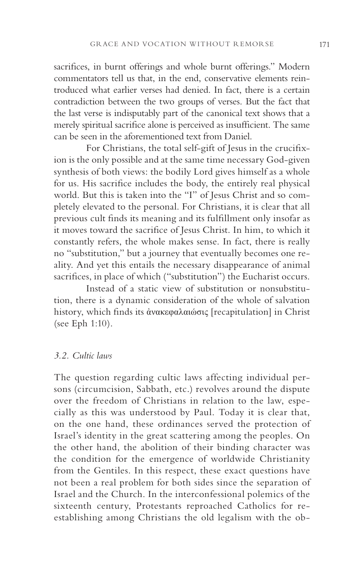sacrifices, in burnt offerings and whole burnt offerings." Modern commentators tell us that, in the end, conservative elements reintroduced what earlier verses had denied. In fact, there is a certain contradiction between the two groups of verses. But the fact that the last verse is indisputably part of the canonical text shows that a merely spiritual sacrifice alone is perceived as insufficient. The same can be seen in the aforementioned text from Daniel.

For Christians, the total self-gift of Jesus in the crucifixion is the only possible and at the same time necessary God-given synthesis of both views: the bodily Lord gives himself as a whole for us. His sacrifice includes the body, the entirely real physical world. But this is taken into the "I" of Jesus Christ and so completely elevated to the personal. For Christians, it is clear that all previous cult finds its meaning and its fulfillment only insofar as it moves toward the sacrifice of Jesus Christ. In him, to which it constantly refers, the whole makes sense. In fact, there is really no "substitution," but a journey that eventually becomes one reality. And yet this entails the necessary disappearance of animal sacrifices, in place of which ("substitution") the Eucharist occurs.

Instead of a static view of substitution or nonsubstitution, there is a dynamic consideration of the whole of salvation history, which finds its ἀνακεφαλαιώσις [recapitulation] in Christ (see Eph 1:10).

# *3.2. Cultic laws*

The question regarding cultic laws affecting individual persons (circumcision, Sabbath, etc.) revolves around the dispute over the freedom of Christians in relation to the law, especially as this was understood by Paul. Today it is clear that, on the one hand, these ordinances served the protection of Israel's identity in the great scattering among the peoples. On the other hand, the abolition of their binding character was the condition for the emergence of worldwide Christianity from the Gentiles. In this respect, these exact questions have not been a real problem for both sides since the separation of Israel and the Church. In the interconfessional polemics of the sixteenth century, Protestants reproached Catholics for reestablishing among Christians the old legalism with the ob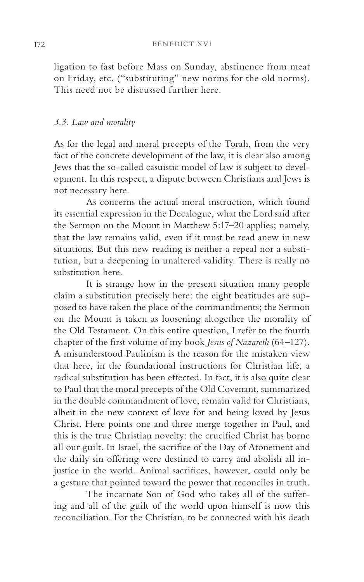ligation to fast before Mass on Sunday, abstinence from meat on Friday, etc. ("substituting" new norms for the old norms). This need not be discussed further here.

### *3.3. Law and morality*

As for the legal and moral precepts of the Torah, from the very fact of the concrete development of the law, it is clear also among Jews that the so-called casuistic model of law is subject to development. In this respect, a dispute between Christians and Jews is not necessary here.

As concerns the actual moral instruction, which found its essential expression in the Decalogue, what the Lord said after the Sermon on the Mount in Matthew 5:17–20 applies; namely, that the law remains valid, even if it must be read anew in new situations. But this new reading is neither a repeal nor a substitution, but a deepening in unaltered validity. There is really no substitution here.

It is strange how in the present situation many people claim a substitution precisely here: the eight beatitudes are supposed to have taken the place of the commandments; the Sermon on the Mount is taken as loosening altogether the morality of the Old Testament. On this entire question, I refer to the fourth chapter of the first volume of my book *Jesus of Nazareth* (64–127). A misunderstood Paulinism is the reason for the mistaken view that here, in the foundational instructions for Christian life, a radical substitution has been effected. In fact, it is also quite clear to Paul that the moral precepts of the Old Covenant, summarized in the double commandment of love, remain valid for Christians, albeit in the new context of love for and being loved by Jesus Christ. Here points one and three merge together in Paul, and this is the true Christian novelty: the crucified Christ has borne all our guilt. In Israel, the sacrifice of the Day of Atonement and the daily sin offering were destined to carry and abolish all injustice in the world. Animal sacrifices, however, could only be a gesture that pointed toward the power that reconciles in truth.

The incarnate Son of God who takes all of the suffering and all of the guilt of the world upon himself is now this reconciliation. For the Christian, to be connected with his death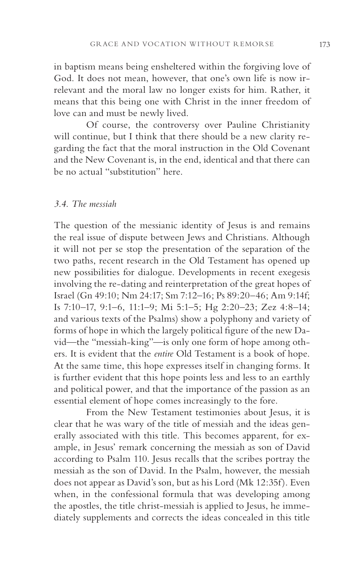in baptism means being ensheltered within the forgiving love of God. It does not mean, however, that one's own life is now irrelevant and the moral law no longer exists for him. Rather, it means that this being one with Christ in the inner freedom of love can and must be newly lived.

Of course, the controversy over Pauline Christianity will continue, but I think that there should be a new clarity regarding the fact that the moral instruction in the Old Covenant and the New Covenant is, in the end, identical and that there can be no actual "substitution" here.

#### *3.4. The messiah*

The question of the messianic identity of Jesus is and remains the real issue of dispute between Jews and Christians. Although it will not per se stop the presentation of the separation of the two paths, recent research in the Old Testament has opened up new possibilities for dialogue. Developments in recent exegesis involving the re-dating and reinterpretation of the great hopes of Israel (Gn 49:10; Nm 24:17; Sm 7:12–16; Ps 89:20–46; Am 9:14f; Is 7:10–17, 9:1–6, 11:1–9; Mi 5:1–5; Hg 2:20–23; Zez 4:8–14; and various texts of the Psalms) show a polyphony and variety of forms of hope in which the largely political figure of the new David—the "messiah-king"—is only one form of hope among others. It is evident that the *entire* Old Testament is a book of hope. At the same time, this hope expresses itself in changing forms. It is further evident that this hope points less and less to an earthly and political power, and that the importance of the passion as an essential element of hope comes increasingly to the fore.

From the New Testament testimonies about Jesus, it is clear that he was wary of the title of messiah and the ideas generally associated with this title. This becomes apparent, for example, in Jesus' remark concerning the messiah as son of David according to Psalm 110. Jesus recalls that the scribes portray the messiah as the son of David. In the Psalm, however, the messiah does not appear as David's son, but as his Lord (Mk 12:35f). Even when, in the confessional formula that was developing among the apostles, the title christ-messiah is applied to Jesus, he immediately supplements and corrects the ideas concealed in this title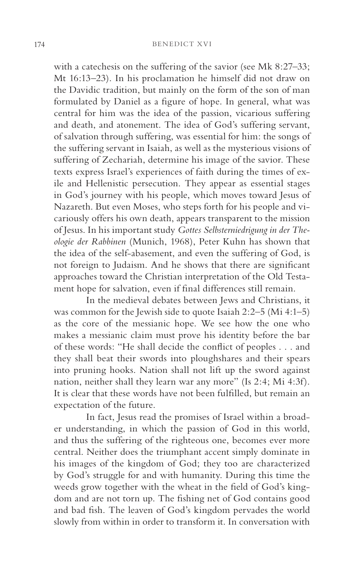with a catechesis on the suffering of the savior (see Mk 8:27–33; Mt 16:13–23). In his proclamation he himself did not draw on the Davidic tradition, but mainly on the form of the son of man formulated by Daniel as a figure of hope. In general, what was central for him was the idea of the passion, vicarious suffering and death, and atonement. The idea of God's suffering servant, of salvation through suffering, was essential for him: the songs of the suffering servant in Isaiah, as well as the mysterious visions of suffering of Zechariah, determine his image of the savior. These texts express Israel's experiences of faith during the times of exile and Hellenistic persecution. They appear as essential stages in God's journey with his people, which moves toward Jesus of Nazareth. But even Moses, who steps forth for his people and vicariously offers his own death, appears transparent to the mission of Jesus. In his important study *Gottes Selbsterniedrigung in der Theologie der Rabbinen* (Munich, 1968), Peter Kuhn has shown that the idea of the self-abasement, and even the suffering of God, is not foreign to Judaism. And he shows that there are significant approaches toward the Christian interpretation of the Old Testament hope for salvation, even if final differences still remain.

In the medieval debates between Jews and Christians, it was common for the Jewish side to quote Isaiah 2:2–5 (Mi 4:1–5) as the core of the messianic hope. We see how the one who makes a messianic claim must prove his identity before the bar of these words: "He shall decide the conflict of peoples . . . and they shall beat their swords into ploughshares and their spears into pruning hooks. Nation shall not lift up the sword against nation, neither shall they learn war any more" (Is 2:4; Mi 4:3f). It is clear that these words have not been fulfilled, but remain an expectation of the future.

In fact, Jesus read the promises of Israel within a broader understanding, in which the passion of God in this world, and thus the suffering of the righteous one, becomes ever more central. Neither does the triumphant accent simply dominate in his images of the kingdom of God; they too are characterized by God's struggle for and with humanity. During this time the weeds grow together with the wheat in the field of God's kingdom and are not torn up. The fishing net of God contains good and bad fish. The leaven of God's kingdom pervades the world slowly from within in order to transform it. In conversation with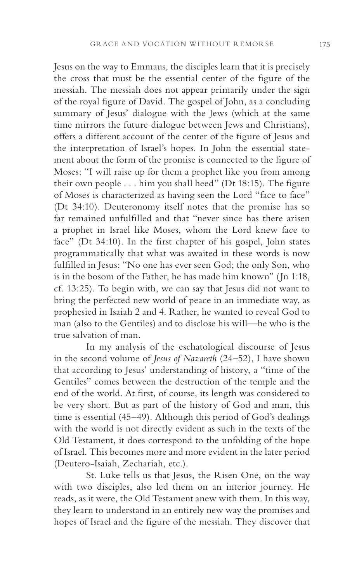Jesus on the way to Emmaus, the disciples learn that it is precisely the cross that must be the essential center of the figure of the messiah. The messiah does not appear primarily under the sign of the royal figure of David. The gospel of John, as a concluding summary of Jesus' dialogue with the Jews (which at the same time mirrors the future dialogue between Jews and Christians), offers a different account of the center of the figure of Jesus and the interpretation of Israel's hopes. In John the essential statement about the form of the promise is connected to the figure of Moses: "I will raise up for them a prophet like you from among their own people . . . him you shall heed" (Dt 18:15). The figure of Moses is characterized as having seen the Lord "face to face" (Dt 34:10). Deuteronomy itself notes that the promise has so far remained unfulfilled and that "never since has there arisen a prophet in Israel like Moses, whom the Lord knew face to face" (Dt 34:10). In the first chapter of his gospel, John states programmatically that what was awaited in these words is now fulfilled in Jesus: "No one has ever seen God; the only Son, who is in the bosom of the Father, he has made him known" (Jn 1:18, cf. 13:25). To begin with, we can say that Jesus did not want to bring the perfected new world of peace in an immediate way, as prophesied in Isaiah 2 and 4. Rather, he wanted to reveal God to man (also to the Gentiles) and to disclose his will—he who is the true salvation of man.

In my analysis of the eschatological discourse of Jesus in the second volume of *Jesus of Nazareth* (24–52), I have shown that according to Jesus' understanding of history, a "time of the Gentiles" comes between the destruction of the temple and the end of the world. At first, of course, its length was considered to be very short. But as part of the history of God and man, this time is essential (45–49). Although this period of God's dealings with the world is not directly evident as such in the texts of the Old Testament, it does correspond to the unfolding of the hope of Israel. This becomes more and more evident in the later period (Deutero-Isaiah, Zechariah, etc.).

St. Luke tells us that Jesus, the Risen One, on the way with two disciples, also led them on an interior journey. He reads, as it were, the Old Testament anew with them. In this way, they learn to understand in an entirely new way the promises and hopes of Israel and the figure of the messiah. They discover that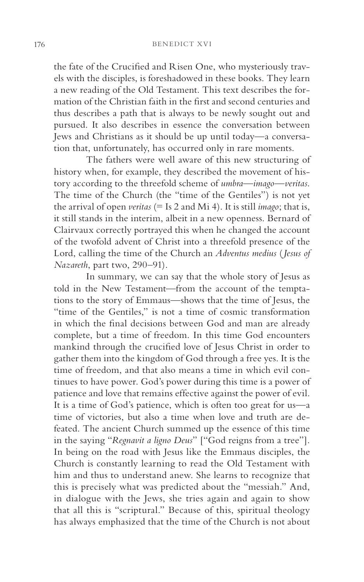the fate of the Crucified and Risen One, who mysteriously travels with the disciples, is foreshadowed in these books. They learn a new reading of the Old Testament. This text describes the formation of the Christian faith in the first and second centuries and thus describes a path that is always to be newly sought out and pursued. It also describes in essence the conversation between Jews and Christians as it should be up until today—a conversation that, unfortunately, has occurred only in rare moments.

The fathers were well aware of this new structuring of history when, for example, they described the movement of history according to the threefold scheme of *umbra*—*imago*—*veritas*. The time of the Church (the "time of the Gentiles") is not yet the arrival of open *veritas* (= Is 2 and Mi 4). It is still *imago*; that is, it still stands in the interim, albeit in a new openness. Bernard of Clairvaux correctly portrayed this when he changed the account of the twofold advent of Christ into a threefold presence of the Lord, calling the time of the Church an *Adventus medius* (*Jesus of Nazareth*, part two, 290–91).

In summary, we can say that the whole story of Jesus as told in the New Testament—from the account of the temptations to the story of Emmaus—shows that the time of Jesus, the "time of the Gentiles," is not a time of cosmic transformation in which the final decisions between God and man are already complete, but a time of freedom. In this time God encounters mankind through the crucified love of Jesus Christ in order to gather them into the kingdom of God through a free yes. It is the time of freedom, and that also means a time in which evil continues to have power. God's power during this time is a power of patience and love that remains effective against the power of evil. It is a time of God's patience, which is often too great for us—a time of victories, but also a time when love and truth are defeated. The ancient Church summed up the essence of this time in the saying "*Regnavit a ligno Deus*" ["God reigns from a tree"]. In being on the road with Jesus like the Emmaus disciples, the Church is constantly learning to read the Old Testament with him and thus to understand anew. She learns to recognize that this is precisely what was predicted about the "messiah." And, in dialogue with the Jews, she tries again and again to show that all this is "scriptural." Because of this, spiritual theology has always emphasized that the time of the Church is not about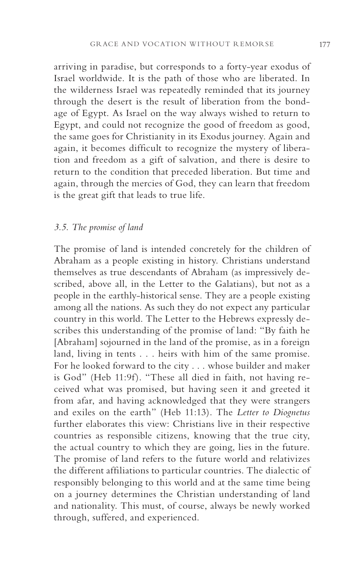arriving in paradise, but corresponds to a forty-year exodus of Israel worldwide. It is the path of those who are liberated. In the wilderness Israel was repeatedly reminded that its journey through the desert is the result of liberation from the bondage of Egypt. As Israel on the way always wished to return to Egypt, and could not recognize the good of freedom as good, the same goes for Christianity in its Exodus journey. Again and again, it becomes difficult to recognize the mystery of liberation and freedom as a gift of salvation, and there is desire to return to the condition that preceded liberation. But time and again, through the mercies of God, they can learn that freedom is the great gift that leads to true life.

### *3.5. The promise of land*

The promise of land is intended concretely for the children of Abraham as a people existing in history. Christians understand themselves as true descendants of Abraham (as impressively described, above all, in the Letter to the Galatians), but not as a people in the earthly-historical sense. They are a people existing among all the nations. As such they do not expect any particular country in this world. The Letter to the Hebrews expressly describes this understanding of the promise of land: "By faith he [Abraham] sojourned in the land of the promise, as in a foreign land, living in tents . . . heirs with him of the same promise. For he looked forward to the city . . . whose builder and maker is God" (Heb 11:9f). "These all died in faith, not having received what was promised, but having seen it and greeted it from afar, and having acknowledged that they were strangers and exiles on the earth" (Heb 11:13). The *Letter to Diognetus*  further elaborates this view: Christians live in their respective countries as responsible citizens, knowing that the true city, the actual country to which they are going, lies in the future. The promise of land refers to the future world and relativizes the different affiliations to particular countries. The dialectic of responsibly belonging to this world and at the same time being on a journey determines the Christian understanding of land and nationality. This must, of course, always be newly worked through, suffered, and experienced.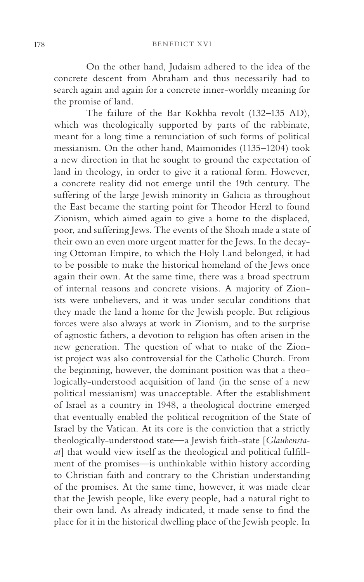On the other hand, Judaism adhered to the idea of the concrete descent from Abraham and thus necessarily had to search again and again for a concrete inner-worldly meaning for the promise of land.

The failure of the Bar Kokhba revolt (132–135 AD), which was theologically supported by parts of the rabbinate, meant for a long time a renunciation of such forms of political messianism. On the other hand, Maimonides (1135–1204) took a new direction in that he sought to ground the expectation of land in theology, in order to give it a rational form. However, a concrete reality did not emerge until the 19th century. The suffering of the large Jewish minority in Galicia as throughout the East became the starting point for Theodor Herzl to found Zionism, which aimed again to give a home to the displaced, poor, and suffering Jews. The events of the Shoah made a state of their own an even more urgent matter for the Jews. In the decaying Ottoman Empire, to which the Holy Land belonged, it had to be possible to make the historical homeland of the Jews once again their own. At the same time, there was a broad spectrum of internal reasons and concrete visions. A majority of Zionists were unbelievers, and it was under secular conditions that they made the land a home for the Jewish people. But religious forces were also always at work in Zionism, and to the surprise of agnostic fathers, a devotion to religion has often arisen in the new generation. The question of what to make of the Zionist project was also controversial for the Catholic Church. From the beginning, however, the dominant position was that a theologically-understood acquisition of land (in the sense of a new political messianism) was unacceptable. After the establishment of Israel as a country in 1948, a theological doctrine emerged that eventually enabled the political recognition of the State of Israel by the Vatican. At its core is the conviction that a strictly theologically-understood state—a Jewish faith-state [*Glaubenstaat*] that would view itself as the theological and political fulfillment of the promises—is unthinkable within history according to Christian faith and contrary to the Christian understanding of the promises. At the same time, however, it was made clear that the Jewish people, like every people, had a natural right to their own land. As already indicated, it made sense to find the place for it in the historical dwelling place of the Jewish people. In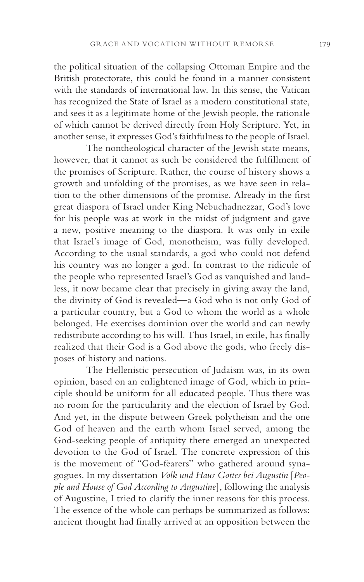the political situation of the collapsing Ottoman Empire and the British protectorate, this could be found in a manner consistent with the standards of international law. In this sense, the Vatican has recognized the State of Israel as a modern constitutional state, and sees it as a legitimate home of the Jewish people, the rationale of which cannot be derived directly from Holy Scripture. Yet, in another sense, it expresses God's faithfulness to the people of Israel.

The nontheological character of the Jewish state means, however, that it cannot as such be considered the fulfillment of the promises of Scripture. Rather, the course of history shows a growth and unfolding of the promises, as we have seen in relation to the other dimensions of the promise. Already in the first great diaspora of Israel under King Nebuchadnezzar, God's love for his people was at work in the midst of judgment and gave a new, positive meaning to the diaspora. It was only in exile that Israel's image of God, monotheism, was fully developed. According to the usual standards, a god who could not defend his country was no longer a god. In contrast to the ridicule of the people who represented Israel's God as vanquished and landless, it now became clear that precisely in giving away the land, the divinity of God is revealed—a God who is not only God of a particular country, but a God to whom the world as a whole belonged. He exercises dominion over the world and can newly redistribute according to his will. Thus Israel, in exile, has finally realized that their God is a God above the gods, who freely disposes of history and nations.

The Hellenistic persecution of Judaism was, in its own opinion, based on an enlightened image of God, which in principle should be uniform for all educated people. Thus there was no room for the particularity and the election of Israel by God. And yet, in the dispute between Greek polytheism and the one God of heaven and the earth whom Israel served, among the God-seeking people of antiquity there emerged an unexpected devotion to the God of Israel. The concrete expression of this is the movement of "God-fearers" who gathered around synagogues. In my dissertation *Volk und Haus Gottes bei Augustin* [*People and House of God According to Augustine*], following the analysis of Augustine, I tried to clarify the inner reasons for this process. The essence of the whole can perhaps be summarized as follows: ancient thought had finally arrived at an opposition between the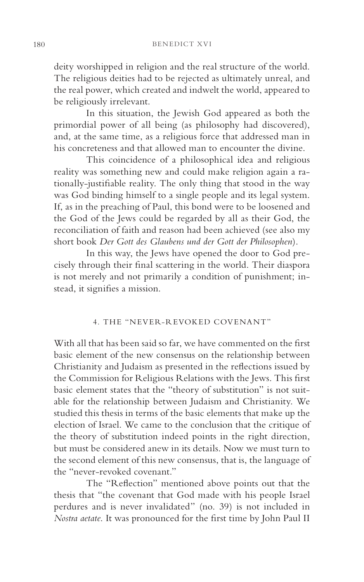deity worshipped in religion and the real structure of the world. The religious deities had to be rejected as ultimately unreal, and the real power, which created and indwelt the world, appeared to be religiously irrelevant.

In this situation, the Jewish God appeared as both the primordial power of all being (as philosophy had discovered), and, at the same time, as a religious force that addressed man in his concreteness and that allowed man to encounter the divine.

This coincidence of a philosophical idea and religious reality was something new and could make religion again a rationally-justifiable reality. The only thing that stood in the way was God binding himself to a single people and its legal system. If, as in the preaching of Paul, this bond were to be loosened and the God of the Jews could be regarded by all as their God, the reconciliation of faith and reason had been achieved (see also my short book *Der Gott des Glaubens und der Gott der Philosophen*).

In this way, the Jews have opened the door to God precisely through their final scattering in the world. Their diaspora is not merely and not primarily a condition of punishment; instead, it signifies a mission.

# 4. THE "NEVER-REVOKED COVENANT"

With all that has been said so far, we have commented on the first basic element of the new consensus on the relationship between Christianity and Judaism as presented in the reflections issued by the Commission for Religious Relations with the Jews. This first basic element states that the "theory of substitution" is not suitable for the relationship between Judaism and Christianity. We studied this thesis in terms of the basic elements that make up the election of Israel. We came to the conclusion that the critique of the theory of substitution indeed points in the right direction, but must be considered anew in its details. Now we must turn to the second element of this new consensus, that is, the language of the "never-revoked covenant."

The "Reflection" mentioned above points out that the thesis that "the covenant that God made with his people Israel perdures and is never invalidated" (no. 39) is not included in *Nostra aetate*. It was pronounced for the first time by John Paul II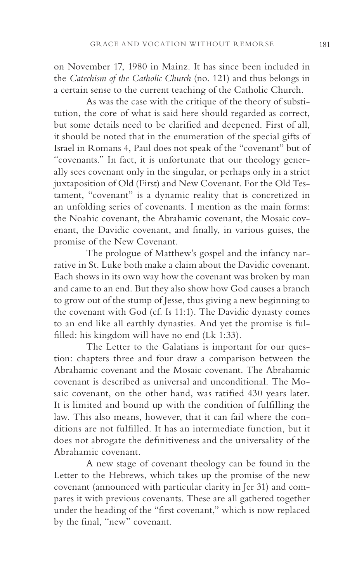on November 17, 1980 in Mainz. It has since been included in the *Catechism of the Catholic Church* (no. 121) and thus belongs in a certain sense to the current teaching of the Catholic Church.

As was the case with the critique of the theory of substitution, the core of what is said here should regarded as correct, but some details need to be clarified and deepened. First of all, it should be noted that in the enumeration of the special gifts of Israel in Romans 4, Paul does not speak of the "covenant" but of "covenants." In fact, it is unfortunate that our theology generally sees covenant only in the singular, or perhaps only in a strict juxtaposition of Old (First) and New Covenant. For the Old Testament, "covenant" is a dynamic reality that is concretized in an unfolding series of covenants. I mention as the main forms: the Noahic covenant, the Abrahamic covenant, the Mosaic covenant, the Davidic covenant, and finally, in various guises, the promise of the New Covenant.

The prologue of Matthew's gospel and the infancy narrative in St. Luke both make a claim about the Davidic covenant. Each shows in its own way how the covenant was broken by man and came to an end. But they also show how God causes a branch to grow out of the stump of Jesse, thus giving a new beginning to the covenant with God (cf. Is 11:1). The Davidic dynasty comes to an end like all earthly dynasties. And yet the promise is fulfilled: his kingdom will have no end (Lk 1:33).

The Letter to the Galatians is important for our question: chapters three and four draw a comparison between the Abrahamic covenant and the Mosaic covenant. The Abrahamic covenant is described as universal and unconditional. The Mosaic covenant, on the other hand, was ratified 430 years later. It is limited and bound up with the condition of fulfilling the law. This also means, however, that it can fail where the conditions are not fulfilled. It has an intermediate function, but it does not abrogate the definitiveness and the universality of the Abrahamic covenant.

A new stage of covenant theology can be found in the Letter to the Hebrews, which takes up the promise of the new covenant (announced with particular clarity in Jer 31) and compares it with previous covenants. These are all gathered together under the heading of the "first covenant," which is now replaced by the final, "new" covenant.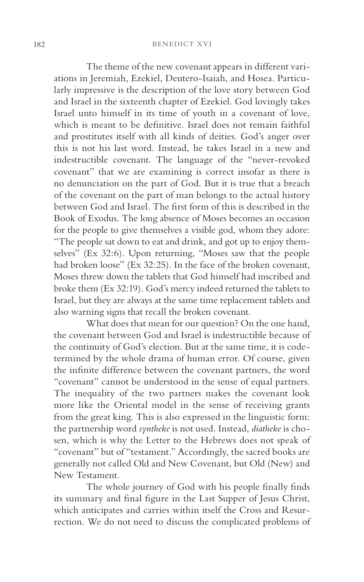The theme of the new covenant appears in different variations in Jeremiah, Ezekiel, Deutero-Isaiah, and Hosea. Particularly impressive is the description of the love story between God and Israel in the sixteenth chapter of Ezekiel. God lovingly takes Israel unto himself in its time of youth in a covenant of love, which is meant to be definitive. Israel does not remain faithful and prostitutes itself with all kinds of deities. God's anger over this is not his last word. Instead, he takes Israel in a new and indestructible covenant. The language of the "never-revoked covenant" that we are examining is correct insofar as there is no denunciation on the part of God. But it is true that a breach of the covenant on the part of man belongs to the actual history between God and Israel. The first form of this is described in the Book of Exodus. The long absence of Moses becomes an occasion for the people to give themselves a visible god, whom they adore: "The people sat down to eat and drink, and got up to enjoy themselves" (Ex 32:6). Upon returning, "Moses saw that the people had broken loose" (Ex 32:25). In the face of the broken covenant, Moses threw down the tablets that God himself had inscribed and broke them (Ex 32:19). God's mercy indeed returned the tablets to Israel, but they are always at the same time replacement tablets and also warning signs that recall the broken covenant.

What does that mean for our question? On the one hand, the covenant between God and Israel is indestructible because of the continuity of God's election. But at the same time, it is codetermined by the whole drama of human error. Of course, given the infinite difference between the covenant partners, the word "covenant" cannot be understood in the sense of equal partners. The inequality of the two partners makes the covenant look more like the Oriental model in the sense of receiving grants from the great king. This is also expressed in the linguistic form: the partnership word *syntheke* is not used. Instead, *diatheke* is chosen, which is why the Letter to the Hebrews does not speak of "covenant" but of "testament." Accordingly, the sacred books are generally not called Old and New Covenant, but Old (New) and New Testament.

The whole journey of God with his people finally finds its summary and final figure in the Last Supper of Jesus Christ, which anticipates and carries within itself the Cross and Resurrection. We do not need to discuss the complicated problems of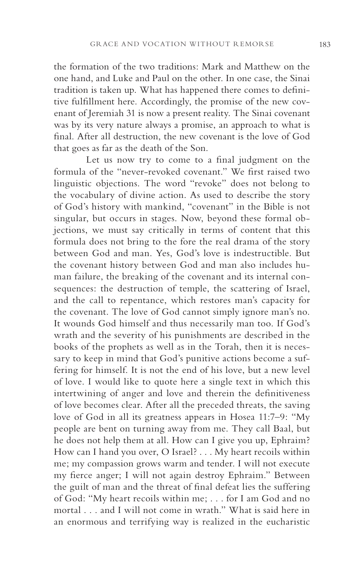the formation of the two traditions: Mark and Matthew on the one hand, and Luke and Paul on the other. In one case, the Sinai tradition is taken up. What has happened there comes to definitive fulfillment here. Accordingly, the promise of the new covenant of Jeremiah 31 is now a present reality. The Sinai covenant was by its very nature always a promise, an approach to what is final. After all destruction, the new covenant is the love of God that goes as far as the death of the Son.

Let us now try to come to a final judgment on the formula of the "never-revoked covenant." We first raised two linguistic objections. The word "revoke" does not belong to the vocabulary of divine action. As used to describe the story of God's history with mankind, "covenant" in the Bible is not singular, but occurs in stages. Now, beyond these formal objections, we must say critically in terms of content that this formula does not bring to the fore the real drama of the story between God and man. Yes, God's love is indestructible. But the covenant history between God and man also includes human failure, the breaking of the covenant and its internal consequences: the destruction of temple, the scattering of Israel, and the call to repentance, which restores man's capacity for the covenant. The love of God cannot simply ignore man's no. It wounds God himself and thus necessarily man too. If God's wrath and the severity of his punishments are described in the books of the prophets as well as in the Torah, then it is necessary to keep in mind that God's punitive actions become a suffering for himself. It is not the end of his love, but a new level of love. I would like to quote here a single text in which this intertwining of anger and love and therein the definitiveness of love becomes clear. After all the preceded threats, the saving love of God in all its greatness appears in Hosea 11:7–9: "My people are bent on turning away from me. They call Baal, but he does not help them at all. How can I give you up, Ephraim? How can I hand you over, O Israel? . . . My heart recoils within me; my compassion grows warm and tender. I will not execute my fierce anger; I will not again destroy Ephraim." Between the guilt of man and the threat of final defeat lies the suffering of God: "My heart recoils within me; . . . for I am God and no mortal . . . and I will not come in wrath." What is said here in an enormous and terrifying way is realized in the eucharistic